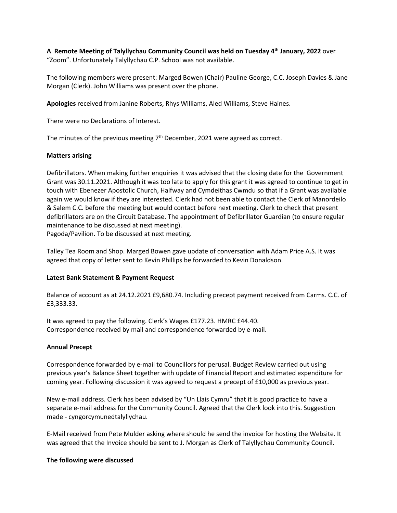**A Remote Meeting of Talyllychau Community Council was held on Tuesday 4th January, 2022** over "Zoom". Unfortunately Talyllychau C.P. School was not available.

The following members were present: Marged Bowen (Chair) Pauline George, C.C. Joseph Davies & Jane Morgan (Clerk). John Williams was present over the phone.

**Apologies** received from Janine Roberts, Rhys Williams, Aled Williams, Steve Haines.

There were no Declarations of Interest.

The minutes of the previous meeting  $7<sup>th</sup>$  December, 2021 were agreed as correct.

### **Matters arising**

Defibrillators. When making further enquiries it was advised that the closing date for the Government Grant was 30.11.2021. Although it was too late to apply for this grant it was agreed to continue to get in touch with Ebenezer Apostolic Church, Halfway and Cymdeithas Cwmdu so that if a Grant was available again we would know if they are interested. Clerk had not been able to contact the Clerk of Manordeilo & Salem C.C. before the meeting but would contact before next meeting. Clerk to check that present defibrillators are on the Circuit Database. The appointment of Defibrillator Guardian (to ensure regular maintenance to be discussed at next meeting).

Pagoda/Pavilion. To be discussed at next meeting.

Talley Tea Room and Shop. Marged Bowen gave update of conversation with Adam Price A.S. It was agreed that copy of letter sent to Kevin Phillips be forwarded to Kevin Donaldson.

#### **Latest Bank Statement & Payment Request**

Balance of account as at 24.12.2021 £9,680.74. Including precept payment received from Carms. C.C. of £3,333.33.

It was agreed to pay the following. Clerk's Wages £177.23. HMRC £44.40. Correspondence received by mail and correspondence forwarded by e-mail.

#### **Annual Precept**

Correspondence forwarded by e-mail to Councillors for perusal. Budget Review carried out using previous year's Balance Sheet together with update of Financial Report and estimated expenditure for coming year. Following discussion it was agreed to request a precept of £10,000 as previous year.

New e-mail address. Clerk has been advised by "Un Llais Cymru" that it is good practice to have a separate e-mail address for the Community Council. Agreed that the Clerk look into this. Suggestion made - cyngorcymunedtalyllychau.

E-Mail received from Pete Mulder asking where should he send the invoice for hosting the Website. It was agreed that the Invoice should be sent to J. Morgan as Clerk of Talyllychau Community Council.

#### **The following were discussed**